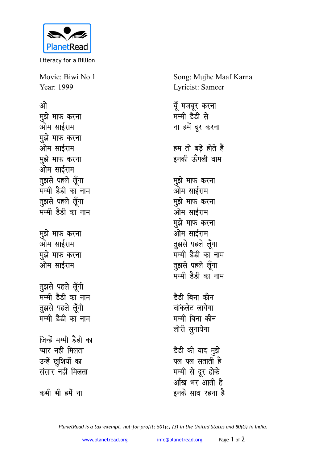

Literacy for a Billion

Movie: Biwi No 1 Year: 1999

## <u>ओ</u>

**मुझे माफ करना** ओम साईराम **मुझे माफ करना** ओम साईराम **मुझे माफ करना** ओम साईराम तुझसे पहले लूँगा मम्मी डेडी का नाम **तुझसे** पहले लूँगा मम्मी डैडी का नाम **मुझे माफ करना** ओम साईराम **मुझे माफ करना** ओम साईराम **तुझसे** पहले लूँगी सम्मी डैडी का नाम **तुझसे** पहले लूँगी मम्मी डैडी का नाम जिन्हें मम्मी डेडी क<mark>ा</mark> प्यार नहीं मिलता उन्हें खुशियों का **संसार नहीं मिलता** 

कभी भी हमें **ना** 

Song: Mujhe Maaf Karna Lyricist: Sameer

यूँ मजबूर करना मम्मी डैडी से **ना हमें दूर करना** हम तो बड़े होते हैं इनकी ऊँगली थाम **मुझे माफ करना** ओम साईराम <u>म</u>ुझे माफ करना ओम साईराम **मुझे माफ करना** ओम साईराम <u>तू</u>झसे पहले लूँगा सम्मी डैडी का नाम तूझसे पहले लूँगा ्<br>मम्मी डेडी का नाम <u>है</u>डी बिना कौन चॉकलेट लायेगा मम्मी बिना कौन लोरी सुनायेगा डेडी की याद <u>म</u>ुझे पल पल सताती है **मम्मी से दूर होके** <u>आँख भर आती है</u>

इनके साथ रहना ह<del>ै</del>

*PlanetRead is a tax-exempt, not-for-profit: 501(c) (3) in the United States and 80(G) in India.*